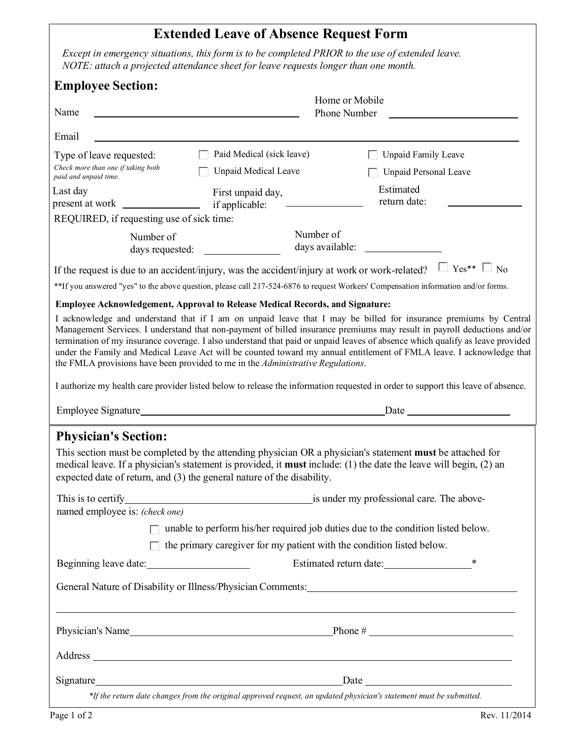## **Extended Leave of Absence Request Form**

*Except in emergency situations, this form is to be completed PRIOR to the use of extended leave. NOTE: attach a projected attendance sheet for leave requests longer than one month.*

| <b>Employee Section:</b>                                                                |                                                                                                                                                                         |                                                                                                                                                                                                                                                                                                                                                                                                                                                                                                       |  |  |
|-----------------------------------------------------------------------------------------|-------------------------------------------------------------------------------------------------------------------------------------------------------------------------|-------------------------------------------------------------------------------------------------------------------------------------------------------------------------------------------------------------------------------------------------------------------------------------------------------------------------------------------------------------------------------------------------------------------------------------------------------------------------------------------------------|--|--|
| Name                                                                                    | Home or Mobile<br>Phone Number                                                                                                                                          |                                                                                                                                                                                                                                                                                                                                                                                                                                                                                                       |  |  |
| Email                                                                                   |                                                                                                                                                                         |                                                                                                                                                                                                                                                                                                                                                                                                                                                                                                       |  |  |
| Type of leave requested:<br>Check more than one if taking both<br>paid and unpaid time. | Paid Medical (sick leave)<br><b>Unpaid Medical Leave</b>                                                                                                                | <b>Unpaid Family Leave</b><br><b>Unpaid Personal Leave</b>                                                                                                                                                                                                                                                                                                                                                                                                                                            |  |  |
| Last day<br>present at work                                                             | First unpaid day,<br>if applicable:                                                                                                                                     | Estimated<br>return date:                                                                                                                                                                                                                                                                                                                                                                                                                                                                             |  |  |
| REQUIRED, if requesting use of sick time:                                               |                                                                                                                                                                         |                                                                                                                                                                                                                                                                                                                                                                                                                                                                                                       |  |  |
| Number of<br>days requested:                                                            | Number of<br>days available:                                                                                                                                            |                                                                                                                                                                                                                                                                                                                                                                                                                                                                                                       |  |  |
|                                                                                         | If the request is due to an accident/injury, was the accident/injury at work or work-related?                                                                           | $\Box$ Yes** $\Box$ No<br>**If you answered "yes" to the above question, please call 217-524-6876 to request Workers' Compensation information and/or forms.                                                                                                                                                                                                                                                                                                                                          |  |  |
|                                                                                         | <b>Employee Acknowledgement, Approval to Release Medical Records, and Signature:</b><br>the FMLA provisions have been provided to me in the Administrative Regulations. | I acknowledge and understand that if I am on unpaid leave that I may be billed for insurance premiums by Central<br>Management Services. I understand that non-payment of billed insurance premiums may result in payroll deductions and/or<br>termination of my insurance coverage. I also understand that paid or unpaid leaves of absence which qualify as leave provided<br>under the Family and Medical Leave Act will be counted toward my annual entitlement of FMLA leave. I acknowledge that |  |  |
|                                                                                         | I authorize my health care provider listed below to release the information requested in order to support this leave of absence.                                        |                                                                                                                                                                                                                                                                                                                                                                                                                                                                                                       |  |  |
|                                                                                         |                                                                                                                                                                         | Date and the same state of the state of the state of the state of the state of the state of the state of the state of the state of the state of the state of the state of the state of the state of the state of the state of                                                                                                                                                                                                                                                                         |  |  |
| <b>Physician's Section:</b>                                                             | expected date of return, and (3) the general nature of the disability.                                                                                                  | This section must be completed by the attending physician OR a physician's statement <b>must</b> be attached for<br>medical leave. If a physician's statement is provided, it <b>must</b> include: (1) the date the leave will begin, (2) an                                                                                                                                                                                                                                                          |  |  |
| This is to certify<br>named employee is: (check one)                                    | is under my professional care. The above-                                                                                                                               |                                                                                                                                                                                                                                                                                                                                                                                                                                                                                                       |  |  |
| П.                                                                                      | unable to perform his/her required job duties due to the condition listed below.                                                                                        |                                                                                                                                                                                                                                                                                                                                                                                                                                                                                                       |  |  |
| $\Box$ the primary caregiver for my patient with the condition listed below.            |                                                                                                                                                                         |                                                                                                                                                                                                                                                                                                                                                                                                                                                                                                       |  |  |
| Beginning leave date:                                                                   |                                                                                                                                                                         | Estimated return date:<br>$\ast$                                                                                                                                                                                                                                                                                                                                                                                                                                                                      |  |  |
|                                                                                         |                                                                                                                                                                         | <u> 1989 - Johann Stoff, amerikansk politiker (d. 1989)</u>                                                                                                                                                                                                                                                                                                                                                                                                                                           |  |  |
|                                                                                         |                                                                                                                                                                         |                                                                                                                                                                                                                                                                                                                                                                                                                                                                                                       |  |  |
|                                                                                         |                                                                                                                                                                         | Address and the contract of the contract of the contract of the contract of the contract of the contract of the contract of the contract of the contract of the contract of the contract of the contract of the contract of th                                                                                                                                                                                                                                                                        |  |  |
|                                                                                         |                                                                                                                                                                         |                                                                                                                                                                                                                                                                                                                                                                                                                                                                                                       |  |  |
|                                                                                         | *If the return date changes from the original approved request, an updated physician's statement must be submitted.                                                     |                                                                                                                                                                                                                                                                                                                                                                                                                                                                                                       |  |  |